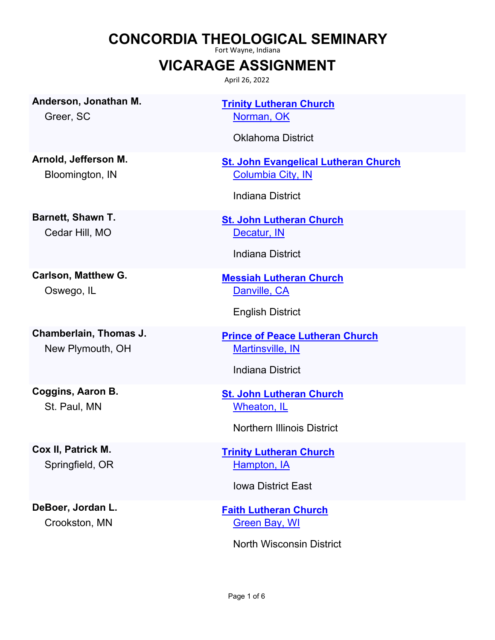## **CONCORDIA THEOLOGICAL SEMINARY**

Fort Wayne, Indiana

## **VICARAGE ASSIGNMENT**

April 26, 2022

**Anderson, Jonathan M.**

Greer, SC

**Arnold, Jefferson M.** Bloomington, IN

**Barnett, Shawn T.** Cedar Hill, MO

**Carlson, Matthew G.** Oswego, IL

**Chamberlain, Thomas J.** New Plymouth, OH

**Coggins, Aaron B.** St. Paul, MN

**Cox II, Patrick M.** Springfield, OR

**DeBoer, Jordan L.** Crookston, MN

**[Trinity Lutheran Church](http://locator.lcms.org/nchurches_frm/c_detail.asp?C648863)** [Norman, OK](http://maps.google.com/?q=35.2179096,-97.4358203&t=h)

Oklahoma District

**[St. John Evangelical Lutheran Church](http://locator.lcms.org/nchurches_frm/c_detail.asp?C194695)** [Columbia City, IN](http://maps.google.com/?q=41.089023,-85.537825&t=h)

Indiana District

**[St. John Lutheran Church](http://locator.lcms.org/nchurches_frm/c_detail.asp?C230159)** [Decatur, IN](http://maps.google.com/?q=40.913625,-85.005712&t=h)

Indiana District

**[Messiah Lutheran Church](http://locator.lcms.org/nchurches_frm/c_detail.asp?C222937)** [Danville, CA](http://maps.google.com/?q=37.8096812,-121.9522896&t=h)

English District

**[Prince of Peace Lutheran Church](http://locator.lcms.org/nchurches_frm/c_detail.asp?C557057)** [Martinsville, IN](http://maps.google.com/?q=39.446508,-86.389492&t=h)

Indiana District

**[St. John Lutheran Church](http://locator.lcms.org/nchurches_frm/c_detail.asp?C971688)** [Wheaton, IL](http://maps.google.com/?q=41.8689067,-88.105817&t=h)

Northern Illinois District

**[Trinity Lutheran Church](http://locator.lcms.org/nchurches_frm/c_detail.asp?C392178)** [Hampton, IA](http://maps.google.com/?q=42.7532319,-93.206433&t=h)

Iowa District East

**[Faith Lutheran Church](http://locator.lcms.org/nchurches_frm/c_detail.asp?C376305)** [Green Bay, WI](http://maps.google.com/?q=44.4792349,-88.0248676&t=h)

North Wisconsin District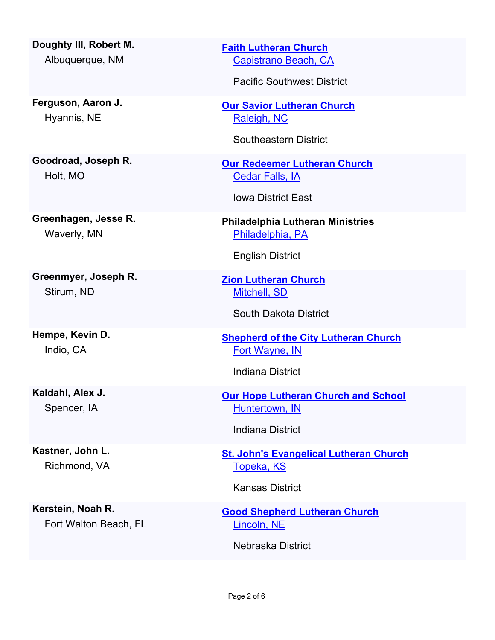**Doughty III, Robert M.** Albuquerque, NM

**Ferguson, Aaron J.** Hyannis, NE

**Goodroad, Joseph R.** Holt, MO

**Greenhagen, Jesse R.** Waverly, MN

**Greenmyer, Joseph R.** Stirum, ND

**Hempe, Kevin D.** Indio, CA

**Kaldahl, Alex J.** Spencer, IA

**Kastner, John L.** Richmond, VA

**Kerstein, Noah R.** Fort Walton Beach, FL **[Faith Lutheran Church](http://locator.lcms.org/nchurches_frm/c_detail.asp?C133797)** [Capistrano Beach, CA](http://maps.google.com/?q=33.4634216,-117.6622354&t=h)

Pacific Southwest District

**[Our Savior Lutheran Church](http://locator.lcms.org/nchurches_frm/c_detail.asp?C751966)** [Raleigh, NC](http://maps.google.com/?q=35.7995213,-78.6453514&t=h)

Southeastern District

**[Our Redeemer Lutheran Church](http://locator.lcms.org/nchurches_frm/c_detail.asp?C140927)** [Cedar Falls, IA](http://maps.google.com/?q=42.530202,-92.442558&t=h)

Iowa District East

**Philadelphia Lutheran Ministries** [Philadelphia, PA](http://maps.google.com/?q=39.967933,-75.347048&t=h)

English District

**[Zion Lutheran Church](http://locator.lcms.org/nchurches_frm/c_detail.asp?C599099)** [Mitchell, SD](http://maps.google.com/?q=43.7115171,-98.0182341&t=h)

South Dakota District

**[Shepherd of the City Lutheran Church](http://locator.lcms.org/nchurches_frm/c_detail.asp?C330617)** [Fort Wayne, IN](http://maps.google.com/?q=41.073769,-85.113739&t=h)

Indiana District

**[Our Hope Lutheran Church and School](http://locator.lcms.org/nchurches_frm/c_detail.asp?C436476)** [Huntertown, IN](http://maps.google.com/?q=41.228382,-85.1724726&t=h)

Indiana District

**[St. John's Evangelical Lutheran Church](http://locator.lcms.org/nchurches_frm/c_detail.asp?C906549)** [Topeka, KS](http://maps.google.com/?q=39.050514,-95.688603&t=h)

Kansas District

**[Good Shepherd Lutheran Church](http://locator.lcms.org/nchurches_frm/c_detail.asp?C513227)** [Lincoln, NE](http://maps.google.com/?q=40.7578506,-96.664158&t=h)

Nebraska District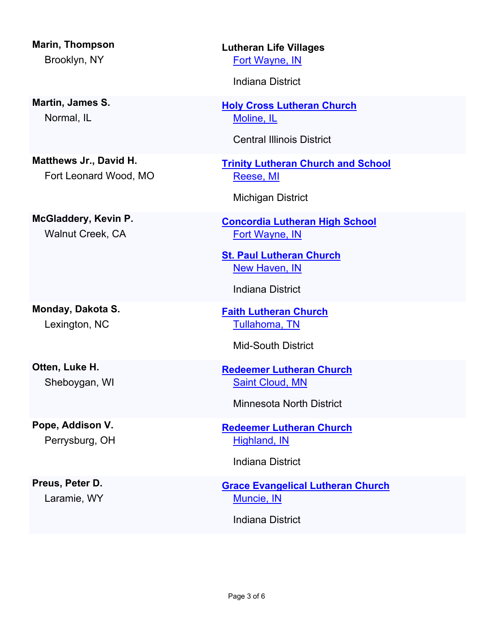**Marin, Thompson** Brooklyn, NY

**Martin, James S.** Normal, IL

**Matthews Jr., David H.** Fort Leonard Wood, MO

**McGladdery, Kevin P.** Walnut Creek, CA

**Monday, Dakota S.** Lexington, NC

**Otten, Luke H.** Sheboygan, WI

**Pope, Addison V.** Perrysburg, OH

**Preus, Peter D.** Laramie, WY **Lutheran Life Villages** [Fort Wayne, IN](http://maps.google.com/?q=41.1705002,-85.1297788&t=h)

Indiana District

**[Holy Cross Lutheran Church](http://locator.lcms.org/nchurches_frm/c_detail.asp?C601387)** [Moline, IL](http://maps.google.com/?q=41.492876,-90.4788669&t=h)

Central Illinois District

**[Trinity Lutheran Church and School](http://locator.lcms.org/nchurches_frm/c_detail.asp?C759402)** [Reese, MI](http://maps.google.com/?q=43.4515227,-83.6929026&t=h)

Michigan District

**[Concordia Lutheran High School](http://locator.lcms.org/nchurches_frm/c_detail.asp?C328400)** [Fort Wayne, IN](http://maps.google.com/?q=41.0920076,-85.0853444&t=h)

**[St. Paul Lutheran Church](https://locator.lcms.org/church/c/632561)** [New Haven, IN](http://maps.google.com/?q=41.097658,-84.9430181&t=h)

Indiana District

**[Faith Lutheran Church](http://locator.lcms.org/nchurches_frm/c_detail.asp?C915415)** [Tullahoma, TN](http://maps.google.com/?q=35.364108,-86.233953&t=h)

Mid-South District

**[Redeemer Lutheran Church](http://locator.lcms.org/nchurches_frm/c_detail.asp?C793722)** [Saint Cloud, MN](http://maps.google.com/?q=45.558766,-94.1912361&t=h)

Minnesota North District

**[Redeemer Lutheran Church](http://locator.lcms.org/nchurches_frm/c_detail.asp?C413914)** [Highland, IN](http://maps.google.com/?q=41.5499193,-87.4611869&t=h)

Indiana District

**[Grace Evangelical Lutheran Church](http://locator.lcms.org/nchurches_frm/c_detail.asp?C618690)** [Muncie, IN](http://maps.google.com/?q=40.1991143,-85.393926&t=h)

Indiana District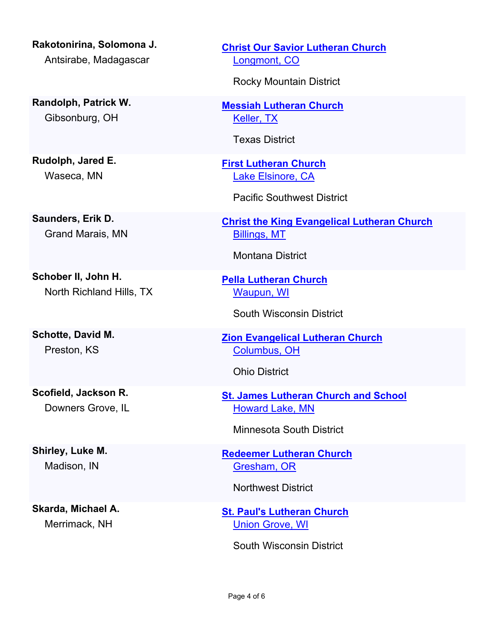**Rakotonirina, Solomona J.** Antsirabe, Madagascar

**Randolph, Patrick W.** Gibsonburg, OH

**Rudolph, Jared E.** Waseca, MN

**Saunders, Erik D.** Grand Marais, MN

**Schober II, John H.** North Richland Hills, TX

**Schotte, David M.** Preston, KS

**Scofield, Jackson R.** Downers Grove, IL

**Shirley, Luke M.** Madison, IN

**Skarda, Michael A.** Merrimack, NH

**[Christ Our Savior Lutheran Church](https://locator.lcms.org/church/C/525810)** [Longmont, CO](http://maps.google.com/?q=40.1704501,-105.0826394&t=h)

Rocky Mountain District

**[Messiah Lutheran Church](http://locator.lcms.org/nchurches_frm/c_detail.asp?C470578)** [Keller, TX](http://maps.google.com/?q=32.9113803,-97.2537671&t=h)

Texas District

**[First Lutheran Church](http://locator.lcms.org/nchurches_frm/c_detail.asp?C489346)** [Lake Elsinore, CA](http://maps.google.com/?q=33.6731556,-117.3327635&t=h)

Pacific Southwest District

**[Christ the King Evangelical Lutheran Church](http://locator.lcms.org/nchurches_frm/c_detail.asp?C80141)** [Billings, MT](http://maps.google.com/?q=45.755742,-108.533056&t=h)

Montana District

**[Pella Lutheran Church](http://locator.lcms.org/nchurches_frm/c_detail.asp?C953853)** [Waupun, WI](http://maps.google.com/?q=43.6333219,-88.7295519&t=h)

South Wisconsin District

**[Zion Evangelical Lutheran Church](http://locator.lcms.org/nchurches_frm/c_detail.asp?C197984)** [Columbus, OH](http://maps.google.com/?q=39.9466246,-82.9969085&t=h)

Ohio District

**[St. James Lutheran Church and School](http://locator.lcms.org/nchurches_frm/c_detail.asp?C433505)** [Howard Lake, MN](http://maps.google.com/?q=45.0612665,-94.0742843&t=h)

Minnesota South District

**[Redeemer Lutheran Church](http://locator.lcms.org/nchurches_frm/c_detail.asp?C381882)** [Gresham, OR](http://maps.google.com/?q=45.4981298,-122.4227507&t=h)

Northwest District

**[St. Paul's Lutheran Church](http://locator.lcms.org/nchurches_frm/c_detail.asp?C920849)** [Union Grove, WI](http://maps.google.com/?q=42.678902,-88.053013&t=h)

South Wisconsin District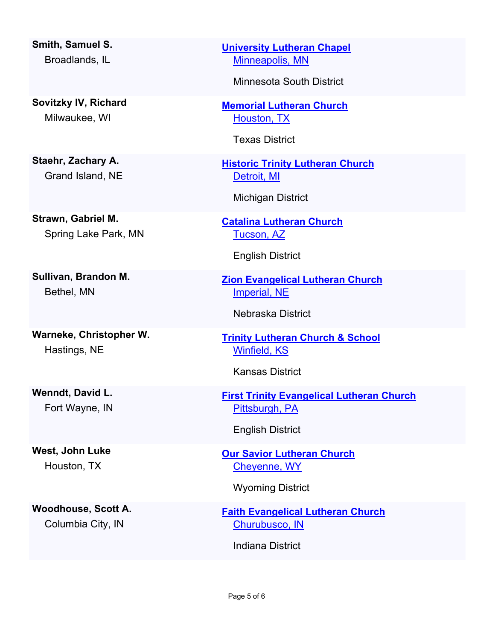**Smith, Samuel S.** Broadlands, IL

**Sovitzky IV, Richard** Milwaukee, WI

**Staehr, Zachary A.** Grand Island, NE

**Strawn, Gabriel M.** Spring Lake Park, MN

**Sullivan, Brandon M.** Bethel, MN

**Warneke, Christopher W.** Hastings, NE

**Wenndt, David L.** Fort Wayne, IN

**West, John Luke** Houston, TX

**Woodhouse, Scott A.** Columbia City, IN

**[University Lutheran Chapel](https://locator.lcms.org/church/C/596668)** [Minneapolis, MN](http://maps.google.com/?q=44.9821537,-93.2413739&t=h)

Minnesota South District

**[Memorial Lutheran Church](http://locator.lcms.org/nchurches_frm/c_detail.asp?C430645)** [Houston, TX](http://maps.google.com/?q=29.7389878,-95.4799261&t=h)

Texas District

**[Historic Trinity Lutheran Church](http://locator.lcms.org/nchurches_frm/c_detail.asp?C249321)** [Detroit, MI](http://maps.google.com/?q=42.3429024,-83.0396424&t=h)

Michigan District

**[Catalina Lutheran Church](http://locator.lcms.org/nchurches_frm/c_detail.asp?C914307)** [Tucson, AZ](http://maps.google.com/?q=32.493132,-110.916106&t=h)

English District

**[Zion Evangelical Lutheran Church](http://locator.lcms.org/nchurches_frm/c_detail.asp?C441227)** [Imperial, NE](http://maps.google.com/?q=40.5245654,-101.6431803&t=h)

Nebraska District

**[Trinity Lutheran Church & School](http://locator.lcms.org/nchurches_frm/c_detail.asp?C983496)** [Winfield, KS](http://maps.google.com/?q=37.23997,-96.976947&t=h)

Kansas District

**[First Trinity Evangelical Lutheran Church](http://locator.lcms.org/nchurches_frm/c_detail.asp?C719934)** [Pittsburgh, PA](http://maps.google.com/?q=40.4498011,-79.9479108&t=h)

English District

**[Our Savior Lutheran Church](http://locator.lcms.org/nchurches_frm/c_detail.asp?C154512)** [Cheyenne, WY](http://maps.google.com/?q=41.1598159,-104.7464902&t=h)

Wyoming District

**[Faith Evangelical Lutheran Church](http://locator.lcms.org/nchurches_frm/c_detail.asp?C170957)** [Churubusco, IN](http://maps.google.com/?q=41.2571958,-85.2646526&t=h)

Indiana District